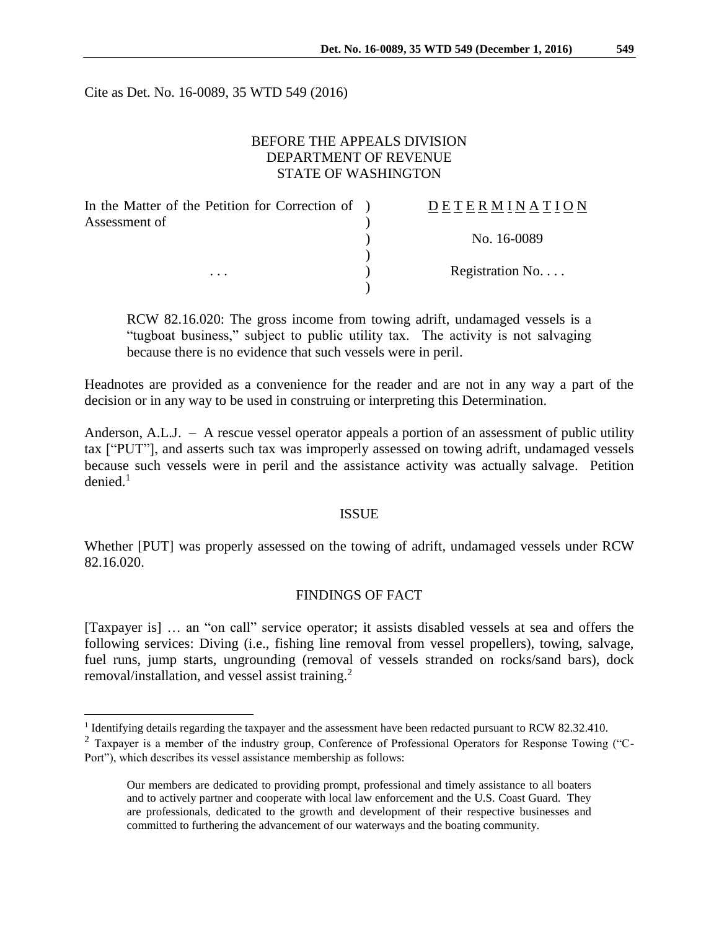Cite as Det. No. 16-0089, 35 WTD 549 (2016)

## BEFORE THE APPEALS DIVISION DEPARTMENT OF REVENUE STATE OF WASHINGTON

| In the Matter of the Petition for Correction of ) | <b>DETERMINATION</b> |
|---------------------------------------------------|----------------------|
| Assessment of<br>$\cdots$                         |                      |
|                                                   | No. 16-0089          |
|                                                   | Registration No      |
|                                                   |                      |

RCW 82.16.020: The gross income from towing adrift, undamaged vessels is a "tugboat business," subject to public utility tax. The activity is not salvaging because there is no evidence that such vessels were in peril.

Headnotes are provided as a convenience for the reader and are not in any way a part of the decision or in any way to be used in construing or interpreting this Determination.

Anderson, A.L.J. – A rescue vessel operator appeals a portion of an assessment of public utility tax ["PUT"], and asserts such tax was improperly assessed on towing adrift, undamaged vessels because such vessels were in peril and the assistance activity was actually salvage. Petition denied. 1

#### ISSUE

Whether [PUT] was properly assessed on the towing of adrift, undamaged vessels under RCW 82.16.020.

### FINDINGS OF FACT

[Taxpayer is] … an "on call" service operator; it assists disabled vessels at sea and offers the following services: Diving (i.e., fishing line removal from vessel propellers), towing, salvage, fuel runs, jump starts, ungrounding (removal of vessels stranded on rocks/sand bars), dock removal/installation, and vessel assist training.<sup>2</sup>

 1 Identifying details regarding the taxpayer and the assessment have been redacted pursuant to RCW 82.32.410.

<sup>&</sup>lt;sup>2</sup> Taxpayer is a member of the industry group, Conference of Professional Operators for Response Towing ("C-Port"), which describes its vessel assistance membership as follows:

Our members are dedicated to providing prompt, professional and timely assistance to all boaters and to actively partner and cooperate with local law enforcement and the U.S. Coast Guard. They are professionals, dedicated to the growth and development of their respective businesses and committed to furthering the advancement of our waterways and the boating community.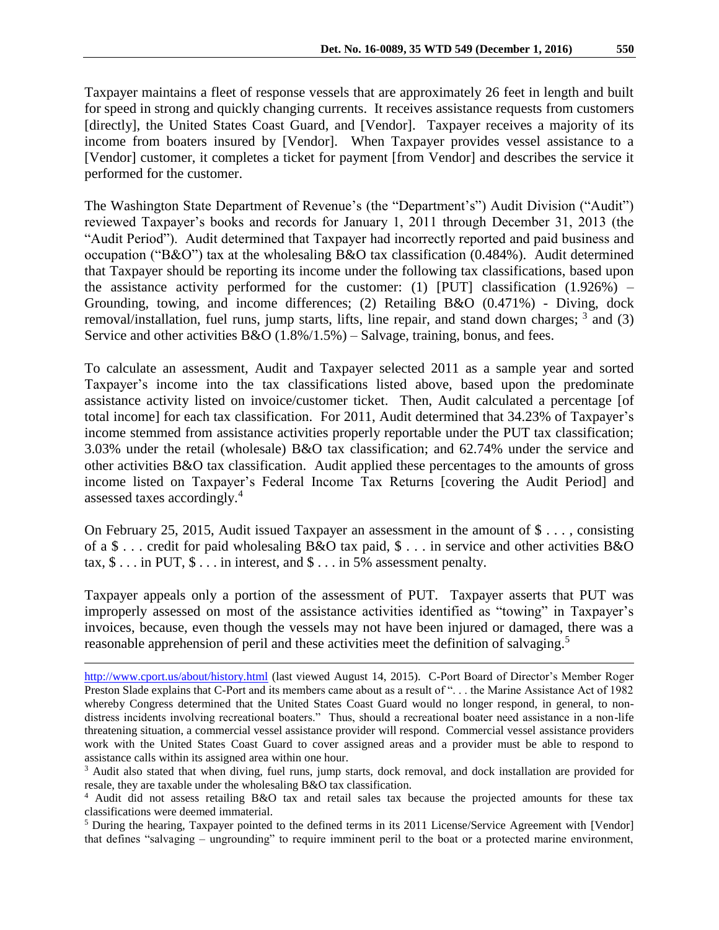Taxpayer maintains a fleet of response vessels that are approximately 26 feet in length and built for speed in strong and quickly changing currents. It receives assistance requests from customers [directly], the United States Coast Guard, and [Vendor]. Taxpayer receives a majority of its income from boaters insured by [Vendor]. When Taxpayer provides vessel assistance to a [Vendor] customer, it completes a ticket for payment [from Vendor] and describes the service it performed for the customer.

The Washington State Department of Revenue's (the "Department's") Audit Division ("Audit") reviewed Taxpayer's books and records for January 1, 2011 through December 31, 2013 (the "Audit Period"). Audit determined that Taxpayer had incorrectly reported and paid business and occupation ("B&O") tax at the wholesaling B&O tax classification (0.484%). Audit determined that Taxpayer should be reporting its income under the following tax classifications, based upon the assistance activity performed for the customer: (1) [PUT] classification  $(1.926\%)$  – Grounding, towing, and income differences; (2) Retailing B&O (0.471%) - Diving, dock removal/installation, fuel runs, jump starts, lifts, line repair, and stand down charges; <sup>3</sup> and (3) Service and other activities  $B&O(1.8\%/1.5\%)$  – Salvage, training, bonus, and fees.

To calculate an assessment, Audit and Taxpayer selected 2011 as a sample year and sorted Taxpayer's income into the tax classifications listed above, based upon the predominate assistance activity listed on invoice/customer ticket. Then, Audit calculated a percentage [of total income] for each tax classification. For 2011, Audit determined that 34.23% of Taxpayer's income stemmed from assistance activities properly reportable under the PUT tax classification; 3.03% under the retail (wholesale) B&O tax classification; and 62.74% under the service and other activities B&O tax classification. Audit applied these percentages to the amounts of gross income listed on Taxpayer's Federal Income Tax Returns [covering the Audit Period] and assessed taxes accordingly.<sup>4</sup>

On February 25, 2015, Audit issued Taxpayer an assessment in the amount of \$ . . . , consisting of a \$ . . . credit for paid wholesaling B&O tax paid, \$ . . . in service and other activities B&O tax,  $\$\dots$  in PUT,  $\$\dots$  in interest, and  $\$\dots$  in 5% assessment penalty.

Taxpayer appeals only a portion of the assessment of PUT. Taxpayer asserts that PUT was improperly assessed on most of the assistance activities identified as "towing" in Taxpayer's invoices, because, even though the vessels may not have been injured or damaged, there was a reasonable apprehension of peril and these activities meet the definition of salvaging.<sup>5</sup>

 $\overline{a}$ 

<http://www.cport.us/about/history.html> (last viewed August 14, 2015). C-Port Board of Director's Member Roger Preston Slade explains that C-Port and its members came about as a result of "... the Marine Assistance Act of 1982 whereby Congress determined that the United States Coast Guard would no longer respond, in general, to nondistress incidents involving recreational boaters." Thus, should a recreational boater need assistance in a non-life threatening situation, a commercial vessel assistance provider will respond. Commercial vessel assistance providers work with the United States Coast Guard to cover assigned areas and a provider must be able to respond to assistance calls within its assigned area within one hour.

<sup>&</sup>lt;sup>3</sup> Audit also stated that when diving, fuel runs, jump starts, dock removal, and dock installation are provided for resale, they are taxable under the wholesaling B&O tax classification.

<sup>4</sup> Audit did not assess retailing B&O tax and retail sales tax because the projected amounts for these tax classifications were deemed immaterial.

<sup>5</sup> During the hearing, Taxpayer pointed to the defined terms in its 2011 License/Service Agreement with [Vendor] that defines "salvaging – ungrounding" to require imminent peril to the boat or a protected marine environment,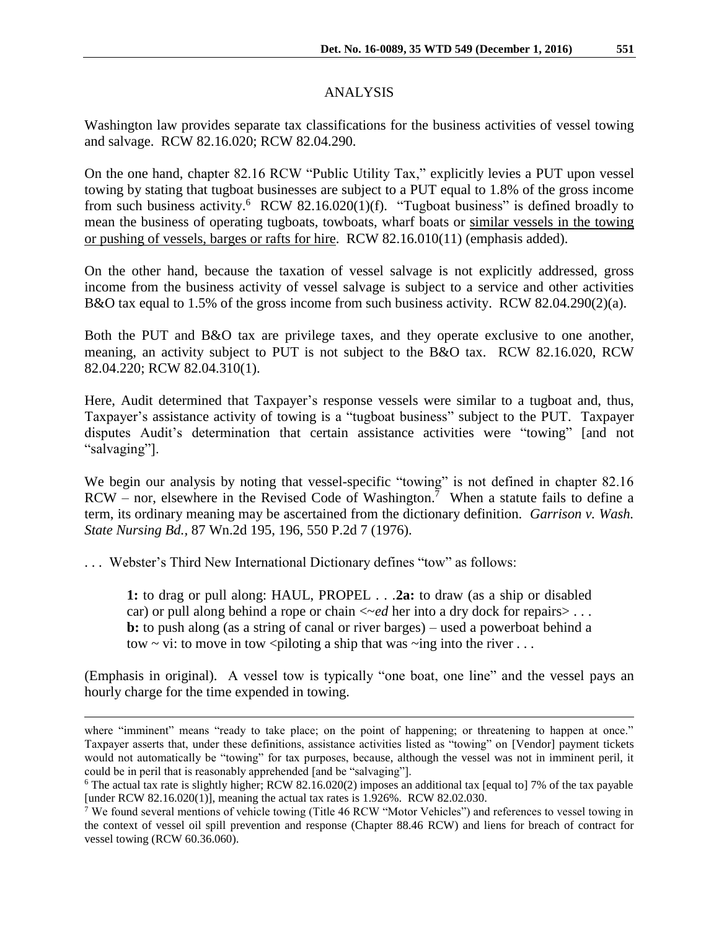# ANALYSIS

Washington law provides separate tax classifications for the business activities of vessel towing and salvage. RCW 82.16.020; RCW 82.04.290.

On the one hand, chapter 82.16 RCW "Public Utility Tax," explicitly levies a PUT upon vessel towing by stating that tugboat businesses are subject to a PUT equal to 1.8% of the gross income from such business activity.<sup>6</sup> RCW 82.16.020(1)(f). "Tugboat business" is defined broadly to mean the business of operating tugboats, towboats, wharf boats or similar vessels in the towing or pushing of vessels, barges or rafts for hire. RCW 82.16.010(11) (emphasis added).

On the other hand, because the taxation of vessel salvage is not explicitly addressed, gross income from the business activity of vessel salvage is subject to a service and other activities B&O tax equal to 1.5% of the gross income from such business activity. RCW 82.04.290(2)(a).

Both the PUT and B&O tax are privilege taxes, and they operate exclusive to one another, meaning, an activity subject to PUT is not subject to the B&O tax. RCW 82.16.020, RCW 82.04.220; RCW 82.04.310(1).

Here, Audit determined that Taxpayer's response vessels were similar to a tugboat and, thus, Taxpayer's assistance activity of towing is a "tugboat business" subject to the PUT. Taxpayer disputes Audit's determination that certain assistance activities were "towing" [and not "salvaging"].

We begin our analysis by noting that vessel-specific "towing" is not defined in chapter 82.16  $RCW - nor$ , elsewhere in the Revised Code of Washington.<sup>7</sup> When a statute fails to define a term, its ordinary meaning may be ascertained from the dictionary definition. *Garrison v. Wash. State Nursing Bd.,* 87 Wn.2d 195, 196, 550 P.2d 7 (1976).

. . . Webster's Third New International Dictionary defines "tow" as follows:

 $\overline{a}$ 

**1:** to drag or pull along: HAUL, PROPEL . . .**2a:** to draw (as a ship or disabled car) or pull along behind a rope or chain  $\ll$  *ed* her into a dry dock for repairs > ... **b:** to push along (as a string of canal or river barges) – used a powerboat behind a tow  $\sim$  vi: to move in tow  $\leq$  piloting a ship that was  $\sim$ ing into the river ...

(Emphasis in original). A vessel tow is typically "one boat, one line" and the vessel pays an hourly charge for the time expended in towing.

where "imminent" means "ready to take place; on the point of happening; or threatening to happen at once." Taxpayer asserts that, under these definitions, assistance activities listed as "towing" on [Vendor] payment tickets would not automatically be "towing" for tax purposes, because, although the vessel was not in imminent peril, it could be in peril that is reasonably apprehended [and be "salvaging"].

<sup>&</sup>lt;sup>6</sup> The actual tax rate is slightly higher; RCW 82.16.020(2) imposes an additional tax [equal to] 7% of the tax payable [under RCW 82.16.020(1)], meaning the actual tax rates is 1.926%. RCW 82.02.030.

<sup>7</sup> We found several mentions of vehicle towing (Title 46 RCW "Motor Vehicles") and references to vessel towing in the context of vessel oil spill prevention and response (Chapter 88.46 RCW) and liens for breach of contract for vessel towing (RCW 60.36.060).